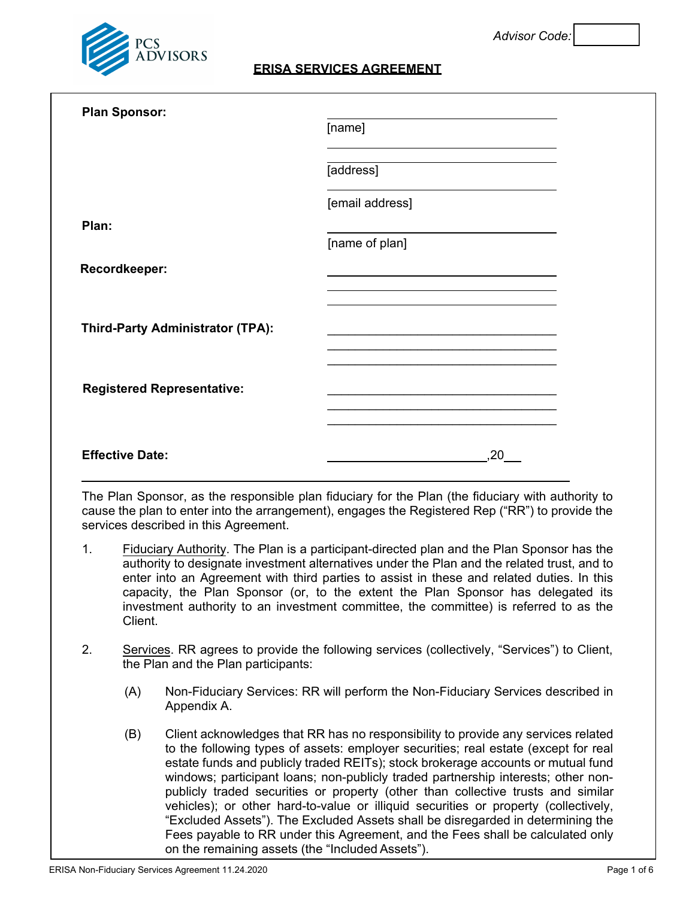

# **ERISA SERVICES AGREEMENT**

| <b>Plan Sponsor:</b>              | [name]                                                                                                               |  |
|-----------------------------------|----------------------------------------------------------------------------------------------------------------------|--|
|                                   |                                                                                                                      |  |
|                                   | [address]                                                                                                            |  |
|                                   | [email address]                                                                                                      |  |
| Plan:                             |                                                                                                                      |  |
|                                   | [name of plan]                                                                                                       |  |
| Recordkeeper:                     |                                                                                                                      |  |
|                                   |                                                                                                                      |  |
| Third-Party Administrator (TPA):  | <u> 1989 - Johann Stein, marwolaethau a bhann an t-Amhain an t-Amhain an t-Amhain an t-Amhain an t-Amhain an t-A</u> |  |
|                                   |                                                                                                                      |  |
| <b>Registered Representative:</b> | the control of the control of the control of the control of the control of the control of                            |  |
|                                   |                                                                                                                      |  |
| <b>Effective Date:</b>            | 20                                                                                                                   |  |

The Plan Sponsor, as the responsible plan fiduciary for the Plan (the fiduciary with authority to cause the plan to enter into the arrangement), engages the Registered Rep ("RR") to provide the services described in this Agreement.

- 1. Fiduciary Authority. The Plan is a participant-directed plan and the Plan Sponsor has the authority to designate investment alternatives under the Plan and the related trust, and to enter into an Agreement with third parties to assist in these and related duties. In this capacity, the Plan Sponsor (or, to the extent the Plan Sponsor has delegated its investment authority to an investment committee, the committee) is referred to as the **Client**
- 2. Services. RR agrees to provide the following services (collectively, "Services") to Client, the Plan and the Plan participants:
	- (A) Non-Fiduciary Services: RR will perform the Non-Fiduciary Services described in Appendix A.
	- (B) Client acknowledges that RR has no responsibility to provide any services related to the following types of assets: employer securities; real estate (except for real estate funds and publicly traded REITs); stock brokerage accounts or mutual fund windows; participant loans; non-publicly traded partnership interests; other nonpublicly traded securities or property (other than collective trusts and similar vehicles); or other hard-to-value or illiquid securities or property (collectively, "Excluded Assets"). The Excluded Assets shall be disregarded in determining the Fees payable to RR under this Agreement, and the Fees shall be calculated only on the remaining assets (the "Included Assets").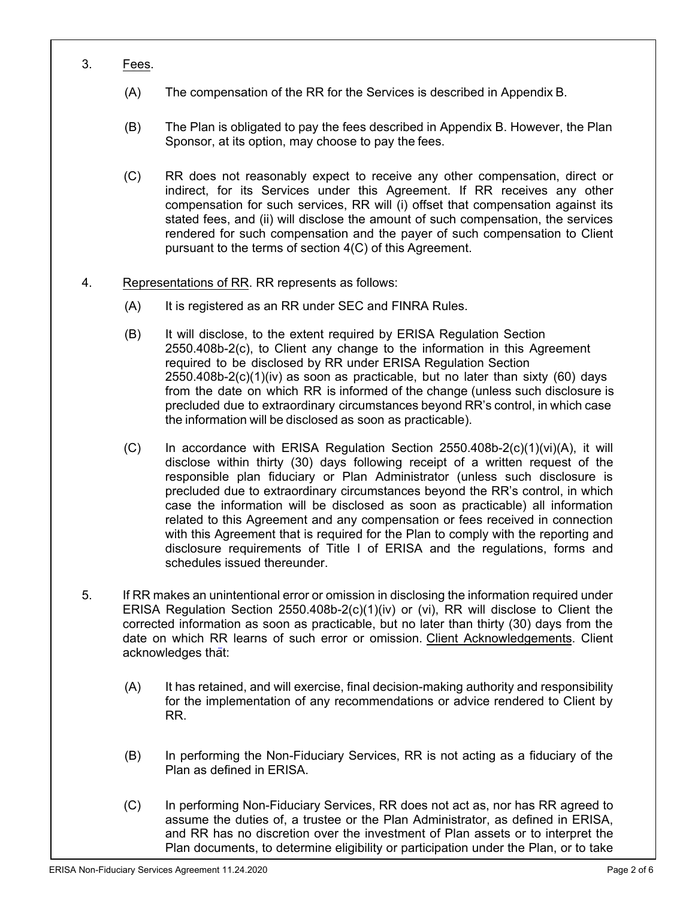- 3. Fees.
	- (A) The compensation of the RR for the Services is described in Appendix B.
	- (B) The Plan is obligated to pay the fees described in Appendix B. However, the Plan Sponsor, at its option, may choose to pay the fees.
	- (C) RR does not reasonably expect to receive any other compensation, direct or indirect, for its Services under this Agreement. If RR receives any other compensation for such services, RR will (i) offset that compensation against its stated fees, and (ii) will disclose the amount of such compensation, the services rendered for such compensation and the payer of such compensation to Client pursuant to the terms of section 4(C) of this Agreement.
- 4. Representations of RR. RR represents as follows:
	- (A) It is registered as an RR under SEC and FINRA Rules.
	- (B) It will disclose, to the extent required by ERISA Regulation Section 2550.408b-2(c), to Client any change to the information in this Agreement required to be disclosed by RR under ERISA Regulation Section 2550.408b-2(c)(1)(iv) as soon as practicable, but no later than sixty (60) days from the date on which RR is informed of the change (unless such disclosure is precluded due to extraordinary circumstances beyond RR's control, in which case the information will be disclosed as soon as practicable).
	- (C) In accordance with ERISA Regulation Section 2550.408b-2(c)(1)(vi)(A), it will disclose within thirty (30) days following receipt of a written request of the responsible plan fiduciary or Plan Administrator (unless such disclosure is precluded due to extraordinary circumstances beyond the RR's control, in which case the information will be disclosed as soon as practicable) all information related to this Agreement and any compensation or fees received in connection with this Agreement that is required for the Plan to comply with the reporting and disclosure requirements of Title I of ERISA and the regulations, forms and schedules issued thereunder.
- 5. If RR makes an unintentional error or omission in disclosing the information required under ERISA Regulation Section 2550.408b-2(c)(1)(iv) or (vi), RR will disclose to Client the corrected information as soon as practicable, but no later than thirty (30) days from the date on which RR learns of such error or omission. Client Acknowledgements. Client acknowledges that:
	- (A) It has retained, and will exercise, final decision-making authority and responsibility for the implementation of any recommendations or advice rendered to Client by RR.
	- (B) In performing the Non-Fiduciary Services, RR is not acting as a fiduciary of the Plan as defined in ERISA.
	- (C) In performing Non-Fiduciary Services, RR does not act as, nor has RR agreed to assume the duties of, a trustee or the Plan Administrator, as defined in ERISA, and RR has no discretion over the investment of Plan assets or to interpret the Plan documents, to determine eligibility or participation under the Plan, or to take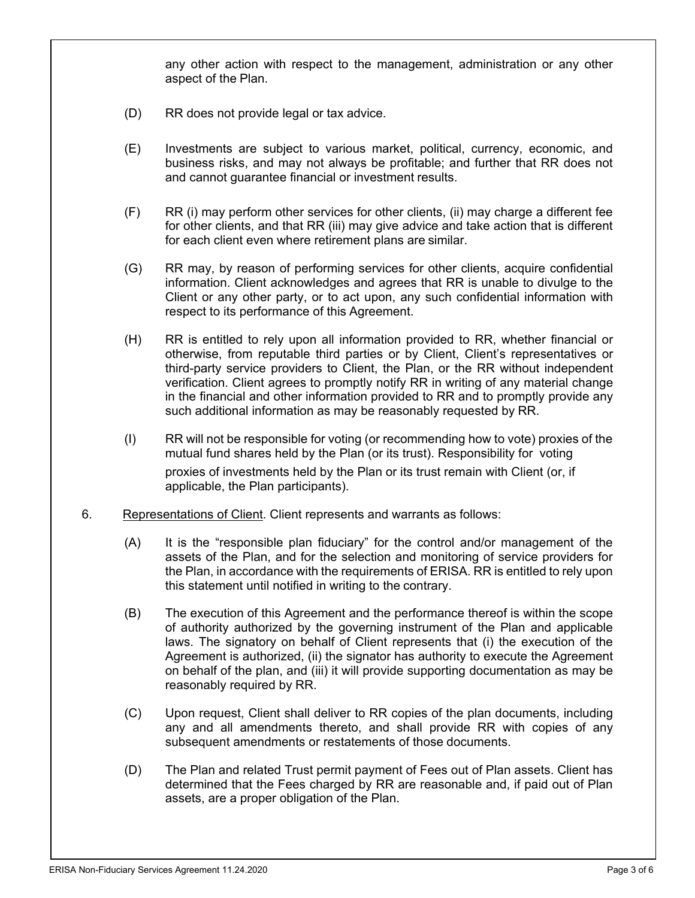any other action with respect to the management, administration or any other aspect of the Plan.

- (D) RR does not provide legal or tax advice.
- (E) Investments are subject to various market, political, currency, economic, and business risks, and may not always be profitable; and further that RR does not and cannot guarantee financial or investment results.
- (F) RR (i) may perform other services for other clients, (ii) may charge a different fee for other clients, and that RR (iii) may give advice and take action that is different for each client even where retirement plans are similar.
- (G) RR may, by reason of performing services for other clients, acquire confidential information. Client acknowledges and agrees that RR is unable to divulge to the Client or any other party, or to act upon, any such confidential information with respect to its performance of this Agreement.
- (H) RR is entitled to rely upon all information provided to RR, whether financial or otherwise, from reputable third parties or by Client, Client's representatives or third-party service providers to Client, the Plan, or the RR without independent verification. Client agrees to promptly notify RR in writing of any material change in the financial and other information provided to RR and to promptly provide any such additional information as may be reasonably requested by RR.
- (I) RR will not be responsible for voting (or recommending how to vote) proxies of the mutual fund shares held by the Plan (or its trust). Responsibility for voting proxies of investments held by the Plan or its trust remain with Client (or, if applicable, the Plan participants).
- 6. Representations of Client. Client represents and warrants as follows:
	- (A) It is the "responsible plan fiduciary" for the control and/or management of the assets of the Plan, and for the selection and monitoring of service providers for the Plan, in accordance with the requirements of ERISA. RR is entitled to rely upon this statement until notified in writing to the contrary.
	- (B) The execution of this Agreement and the performance thereof is within the scope of authority authorized by the governing instrument of the Plan and applicable laws. The signatory on behalf of Client represents that (i) the execution of the Agreement is authorized, (ii) the signator has authority to execute the Agreement on behalf of the plan, and (iii) it will provide supporting documentation as may be reasonably required by RR.
	- (C) Upon request, Client shall deliver to RR copies of the plan documents, including any and all amendments thereto, and shall provide RR with copies of any subsequent amendments or restatements of those documents.
	- (D) The Plan and related Trust permit payment of Fees out of Plan assets. Client has determined that the Fees charged by RR are reasonable and, if paid out of Plan assets, are a proper obligation of the Plan.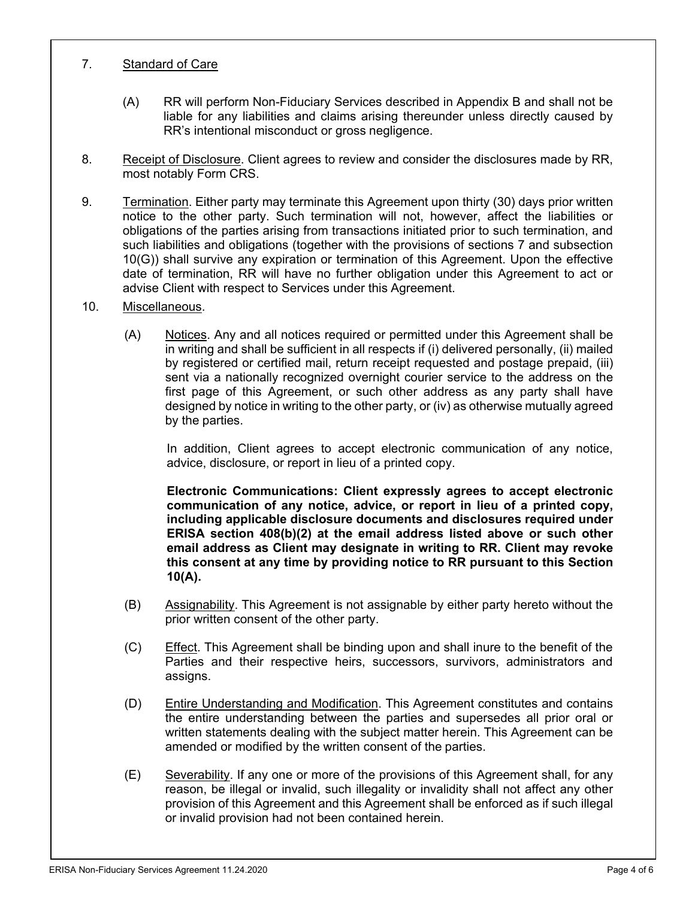### 7. Standard of Care

- (A) RR will perform Non-Fiduciary Services described in Appendix B and shall not be liable for any liabilities and claims arising thereunder unless directly caused by RR's intentional misconduct or gross negligence.
- 8. Receipt of Disclosure. Client agrees to review and consider the disclosures made by RR, most notably Form CRS.
- 9. Termination. Either party may terminate this Agreement upon thirty (30) days prior written notice to the other party. Such termination will not, however, affect the liabilities or obligations of the parties arising from transactions initiated prior to such termination, and such liabilities and obligations (together with the provisions of sections 7 and subsection 10(G)) shall survive any expiration or termination of this Agreement. Upon the effective date of termination, RR will have no further obligation under this Agreement to act or advise Client with respect to Services under this Agreement.
- 10. Miscellaneous.
	- (A) Notices. Any and all notices required or permitted under this Agreement shall be in writing and shall be sufficient in all respects if (i) delivered personally, (ii) mailed by registered or certified mail, return receipt requested and postage prepaid, (iii) sent via a nationally recognized overnight courier service to the address on the first page of this Agreement, or such other address as any party shall have designed by notice in writing to the other party, or (iv) as otherwise mutually agreed by the parties.

In addition, Client agrees to accept electronic communication of any notice, advice, disclosure, or report in lieu of a printed copy.

**Electronic Communications: Client expressly agrees to accept electronic communication of any notice, advice, or report in lieu of a printed copy, including applicable disclosure documents and disclosures required under ERISA section 408(b)(2) at the email address listed above or such other email address as Client may designate in writing to RR. Client may revoke this consent at any time by providing notice to RR pursuant to this Section 10(A).**

- (B) Assignability. This Agreement is not assignable by either party hereto without the prior written consent of the other party.
- (C) Effect. This Agreement shall be binding upon and shall inure to the benefit of the Parties and their respective heirs, successors, survivors, administrators and assigns.
- (D) Entire Understanding and Modification. This Agreement constitutes and contains the entire understanding between the parties and supersedes all prior oral or written statements dealing with the subject matter herein. This Agreement can be amended or modified by the written consent of the parties.
- (E) Severability. If any one or more of the provisions of this Agreement shall, for any reason, be illegal or invalid, such illegality or invalidity shall not affect any other provision of this Agreement and this Agreement shall be enforced as if such illegal or invalid provision had not been contained herein.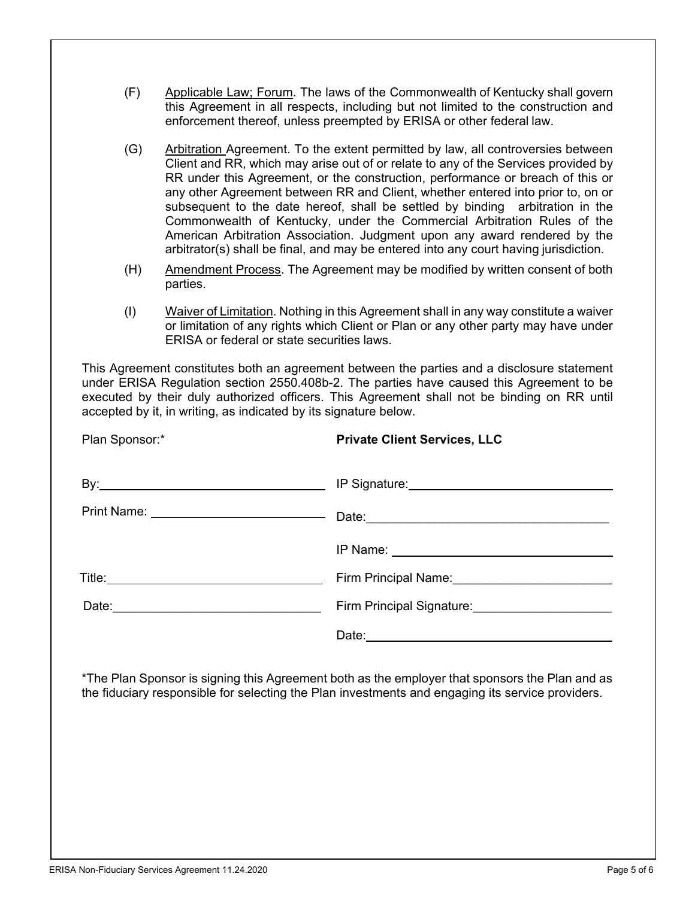- (F) Applicable Law; Forum. The laws of the Commonwealth of Kentucky shall govern this Agreement in all respects, including but not limited to the construction and enforcement thereof, unless preempted by ERISA or other federal law.
- (G) Arbitration Agreement. To the extent permitted by law, all controversies between Client and RR, which may arise out of or relate to any of the Services provided by RR under this Agreement, or the construction, performance or breach of this or any other Agreement between RR and Client, whether entered into prior to, on or subsequent to the date hereof, shall be settled by binding arbitration in the Commonwealth of Kentucky, under the Commercial Arbitration Rules of the American Arbitration Association. Judgment upon any award rendered by the arbitrator(s) shall be final, and may be entered into any court having jurisdiction.
- (H) Amendment Process. The Agreement may be modified by written consent of both parties.
- (I) Waiver of Limitation. Nothing in this Agreement shall in any way constitute a waiver or limitation of any rights which Client or Plan or any other party may have under ERISA or federal or state securities laws.

This Agreement constitutes both an agreement between the parties and a disclosure statement under ERISA Regulation section 2550.408b-2. The parties have caused this Agreement to be executed by their duly authorized officers. This Agreement shall not be binding on RR until accepted by it, in writing, as indicated by its signature below.

| Plan Sponsor:* | <b>Private Client Services, LLC</b>                                                                                                                                                                                                 |
|----------------|-------------------------------------------------------------------------------------------------------------------------------------------------------------------------------------------------------------------------------------|
|                | By: No. 2010 19 Signature: No. 2010 19 Signature: No. 2010 19 Signature: No. 2010 19 Signature: No. 2010 19 Signature: No. 2010 19 Signature: No. 2010 19 Signature: No. 2010 19 Signature: No. 2010 19 Signature: No. 2010 19      |
|                |                                                                                                                                                                                                                                     |
|                |                                                                                                                                                                                                                                     |
|                | Firm Principal Name:<br><u> </u>                                                                                                                                                                                                    |
|                | Firm Principal Signature: ________________________                                                                                                                                                                                  |
|                | Date: <u>example</u> and a series of the series of the series of the series of the series of the series of the series of the series of the series of the series of the series of the series of the series of the series of the seri |

\*The Plan Sponsor is signing this Agreement both as the employer that sponsors the Plan and as the fiduciary responsible for selecting the Plan investments and engaging its service providers.